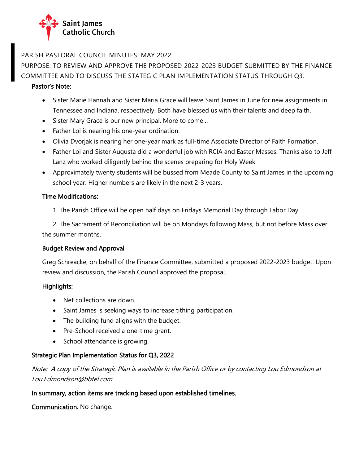

## PARISH PASTORAL COUNCIL MINUTES. MAY 2022

# PURPOSE: TO REVIEW AND APPROVE THE PROPOSED 2022-2023 BUDGET SUBMITTED BY THE FINANCE COMMITTEE AND TO DISCUSS THE STATEGIC PLAN IMPLEMENTATION STATUS THROUGH Q3.

### Pastor's Note:

- Sister Marie Hannah and Sister Maria Grace will leave Saint James in June for new assignments in Tennessee and Indiana, respectively. Both have blessed us with their talents and deep faith.
- Sister Mary Grace is our new principal. More to come…
- Father Loi is nearing his one-year ordination.
- Olivia Dvorjak is nearing her one-year mark as full-time Associate Director of Faith Formation.
- Father Loi and Sister Augusta did a wonderful job with RCIA and Easter Masses. Thanks also to Jeff Lanz who worked diligently behind the scenes preparing for Holy Week.
- Approximately twenty students will be bussed from Meade County to Saint James in the upcoming school year. Higher numbers are likely in the next 2-3 years.

## Time Modifications:

1. The Parish Office will be open half days on Fridays Memorial Day through Labor Day.

2. The Sacrament of Reconciliation will be on Mondays following Mass, but not before Mass over the summer months.

#### Budget Review and Approval

Greg Schreacke, on behalf of the Finance Committee, submitted a proposed 2022-2023 budget. Upon review and discussion, the Parish Council approved the proposal.

## Highlights:

- Net collections are down.
- Saint James is seeking ways to increase tithing participation.
- The building fund aligns with the budget.
- Pre-School received a one-time grant.
- School attendance is growing.

## Strategic Plan Implementation Status for Q3, 2022

Note: A copy of the Strategic Plan is available in the Parish Office or by contacting Lou Edmondson at Lou.Edmondson@bbtel.com

#### In summary, action items are tracking based upon established timelines.

Communication. No change.